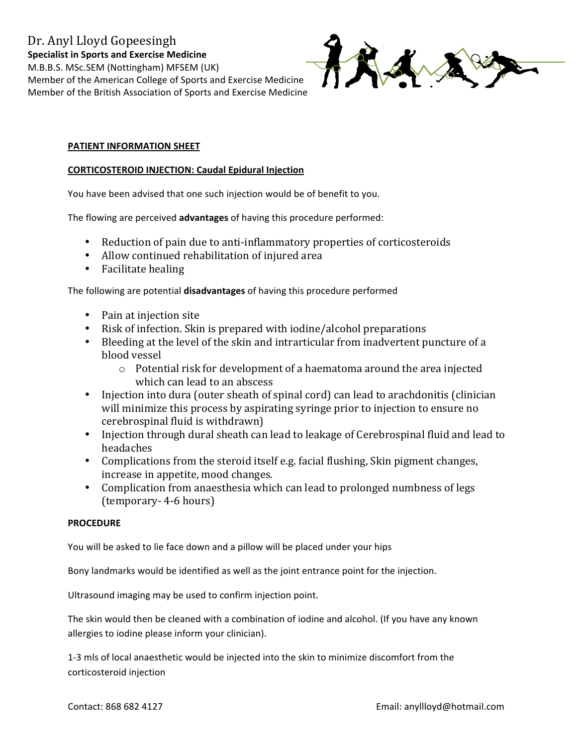

## PATIENT INFORMATION SHEET

### **CORTICOSTEROID INJECTION: Caudal Epidural Injection**

You have been advised that one such injection would be of benefit to you.

The flowing are perceived advantages of having this procedure performed:

- Reduction of pain due to anti-inflammatory properties of corticosteroids
- Allow continued rehabilitation of injured area
- Facilitate healing

The following are potential disadvantages of having this procedure performed

- Pain at injection site
- Risk of infection. Skin is prepared with iodine/alcohol preparations
- Bleeding at the level of the skin and intrarticular from inadvertent puncture of a blood vessel
	- $\circ$  Potential risk for development of a haematoma around the area injected which can lead to an abscess
- Injection into dura (outer sheath of spinal cord) can lead to arachdonitis (clinician will minimize this process by aspirating syringe prior to injection to ensure no cerebrospinal fluid is withdrawn)
- Injection through dural sheath can lead to leakage of Cerebrospinal fluid and lead to headaches
- Complications from the steroid itself e.g. facial flushing, Skin pigment changes, increase in appetite, mood changes.
- Complication from anaesthesia which can lead to prolonged numbness of legs (temporary-4-6 hours)

## **PROCEDURE**

You will be asked to lie face down and a pillow will be placed under your hips

Bony landmarks would be identified as well as the joint entrance point for the injection.

Ultrasound imaging may be used to confirm injection point.

The skin would then be cleaned with a combination of iodine and alcohol. (If you have any known allergies to iodine please inform your clinician).

1-3 mls of local anaesthetic would be injected into the skin to minimize discomfort from the corticosteroid injection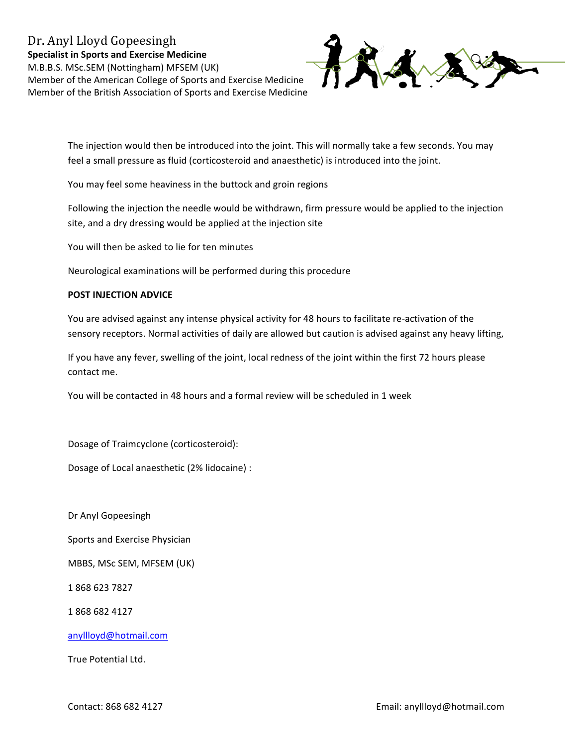# Dr. Anyl Lloyd Gopeesingh **Specialist in Sports and Exercise Medicine** M.B.B.S. MSc.SEM (Nottingham) MFSEM (UK) Member of the American College of Sports and Exercise Medicine Member of the British Association of Sports and Exercise Medicine



The injection would then be introduced into the joint. This will normally take a few seconds. You may feel a small pressure as fluid (corticosteroid and anaesthetic) is introduced into the joint.

You may feel some heaviness in the buttock and groin regions

Following the injection the needle would be withdrawn, firm pressure would be applied to the injection site, and a dry dressing would be applied at the injection site

You will then be asked to lie for ten minutes

Neurological examinations will be performed during this procedure

### **POST INJECTION ADVICE**

You are advised against any intense physical activity for 48 hours to facilitate re-activation of the sensory receptors. Normal activities of daily are allowed but caution is advised against any heavy lifting,

If you have any fever, swelling of the joint, local redness of the joint within the first 72 hours please contact me.

You will be contacted in 48 hours and a formal review will be scheduled in 1 week

Dosage of Traimcyclone (corticosteroid):

Dosage of Local anaesthetic (2% lidocaine) :

Dr Anyl Gopeesingh

Sports and Exercise Physician

MBBS, MSc SEM, MFSEM (UK)

1868 623 7827

1868 682 4127

anyllloyd@hotmail.com

True Potential Ltd.